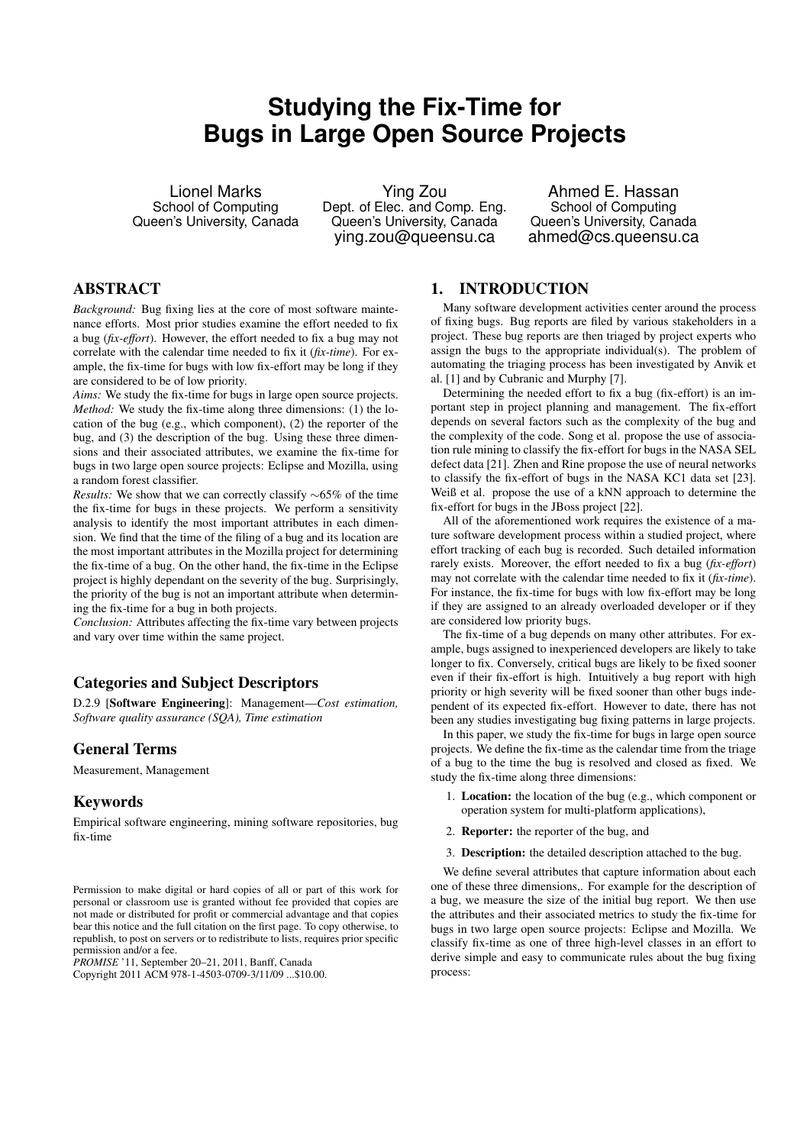# **Studying the Fix-Time for Bugs in Large Open Source Projects**

Lionel Marks School of Computing Queen's University, Canada

Ying Zou Dept. of Elec. and Comp. Eng. Queen's University, Canada ying.zou@queensu.ca

Ahmed E. Hassan School of Computing Queen's University, Canada ahmed@cs.queensu.ca

# ABSTRACT

*Background:* Bug fixing lies at the core of most software maintenance efforts. Most prior studies examine the effort needed to fix a bug (*fix-effort*). However, the effort needed to fix a bug may not correlate with the calendar time needed to fix it (*fix-time*). For example, the fix-time for bugs with low fix-effort may be long if they are considered to be of low priority.

*Aims:* We study the fix-time for bugs in large open source projects. *Method:* We study the fix-time along three dimensions: (1) the location of the bug (e.g., which component), (2) the reporter of the bug, and (3) the description of the bug. Using these three dimensions and their associated attributes, we examine the fix-time for bugs in two large open source projects: Eclipse and Mozilla, using a random forest classifier.

*Results:* We show that we can correctly classify ∼65% of the time the fix-time for bugs in these projects. We perform a sensitivity analysis to identify the most important attributes in each dimension. We find that the time of the filing of a bug and its location are the most important attributes in the Mozilla project for determining the fix-time of a bug. On the other hand, the fix-time in the Eclipse project is highly dependant on the severity of the bug. Surprisingly, the priority of the bug is not an important attribute when determining the fix-time for a bug in both projects.

*Conclusion:* Attributes affecting the fix-time vary between projects and vary over time within the same project.

# Categories and Subject Descriptors

D.2.9 [Software Engineering]: Management—*Cost estimation, Software quality assurance (SQA), Time estimation*

## General Terms

Measurement, Management

## Keywords

Empirical software engineering, mining software repositories, bug fix-time

*PROMISE* '11, September 20–21, 2011, Banff, Canada

# 1. INTRODUCTION

Many software development activities center around the process of fixing bugs. Bug reports are filed by various stakeholders in a project. These bug reports are then triaged by project experts who assign the bugs to the appropriate individual(s). The problem of automating the triaging process has been investigated by Anvik et al. [1] and by Cubranic and Murphy [7].

Determining the needed effort to fix a bug (fix-effort) is an important step in project planning and management. The fix-effort depends on several factors such as the complexity of the bug and the complexity of the code. Song et al. propose the use of association rule mining to classify the fix-effort for bugs in the NASA SEL defect data [21]. Zhen and Rine propose the use of neural networks to classify the fix-effort of bugs in the NASA KC1 data set [23]. Weiß et al. propose the use of a kNN approach to determine the fix-effort for bugs in the JBoss project [22].

All of the aforementioned work requires the existence of a mature software development process within a studied project, where effort tracking of each bug is recorded. Such detailed information rarely exists. Moreover, the effort needed to fix a bug (*fix-effort*) may not correlate with the calendar time needed to fix it (*fix-time*). For instance, the fix-time for bugs with low fix-effort may be long if they are assigned to an already overloaded developer or if they are considered low priority bugs.

The fix-time of a bug depends on many other attributes. For example, bugs assigned to inexperienced developers are likely to take longer to fix. Conversely, critical bugs are likely to be fixed sooner even if their fix-effort is high. Intuitively a bug report with high priority or high severity will be fixed sooner than other bugs independent of its expected fix-effort. However to date, there has not been any studies investigating bug fixing patterns in large projects.

In this paper, we study the fix-time for bugs in large open source projects. We define the fix-time as the calendar time from the triage of a bug to the time the bug is resolved and closed as fixed. We study the fix-time along three dimensions:

- 1. Location: the location of the bug (e.g., which component or operation system for multi-platform applications),
- 2. Reporter: the reporter of the bug, and
- 3. Description: the detailed description attached to the bug.

We define several attributes that capture information about each one of these three dimensions,. For example for the description of a bug, we measure the size of the initial bug report. We then use the attributes and their associated metrics to study the fix-time for bugs in two large open source projects: Eclipse and Mozilla. We classify fix-time as one of three high-level classes in an effort to derive simple and easy to communicate rules about the bug fixing process:

Permission to make digital or hard copies of all or part of this work for personal or classroom use is granted without fee provided that copies are not made or distributed for profit or commercial advantage and that copies bear this notice and the full citation on the first page. To copy otherwise, to republish, to post on servers or to redistribute to lists, requires prior specific permission and/or a fee.

Copyright 2011 ACM 978-1-4503-0709-3/11/09 ...\$10.00.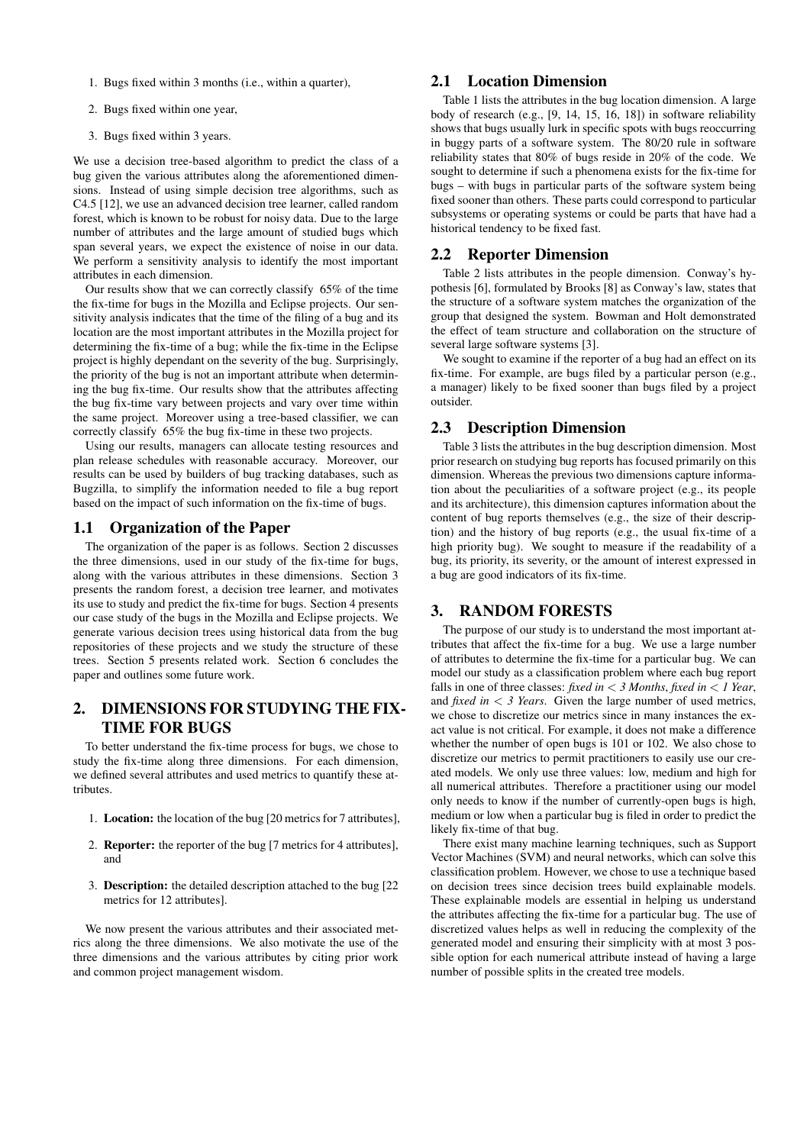- 1. Bugs fixed within 3 months (i.e., within a quarter),
- 2. Bugs fixed within one year,
- 3. Bugs fixed within 3 years.

We use a decision tree-based algorithm to predict the class of a bug given the various attributes along the aforementioned dimensions. Instead of using simple decision tree algorithms, such as C4.5 [12], we use an advanced decision tree learner, called random forest, which is known to be robust for noisy data. Due to the large number of attributes and the large amount of studied bugs which span several years, we expect the existence of noise in our data. We perform a sensitivity analysis to identify the most important attributes in each dimension.

Our results show that we can correctly classify 65% of the time the fix-time for bugs in the Mozilla and Eclipse projects. Our sensitivity analysis indicates that the time of the filing of a bug and its location are the most important attributes in the Mozilla project for determining the fix-time of a bug; while the fix-time in the Eclipse project is highly dependant on the severity of the bug. Surprisingly, the priority of the bug is not an important attribute when determining the bug fix-time. Our results show that the attributes affecting the bug fix-time vary between projects and vary over time within the same project. Moreover using a tree-based classifier, we can correctly classify 65% the bug fix-time in these two projects.

Using our results, managers can allocate testing resources and plan release schedules with reasonable accuracy. Moreover, our results can be used by builders of bug tracking databases, such as Bugzilla, to simplify the information needed to file a bug report based on the impact of such information on the fix-time of bugs.

# 1.1 Organization of the Paper

The organization of the paper is as follows. Section 2 discusses the three dimensions, used in our study of the fix-time for bugs, along with the various attributes in these dimensions. Section 3 presents the random forest, a decision tree learner, and motivates its use to study and predict the fix-time for bugs. Section 4 presents our case study of the bugs in the Mozilla and Eclipse projects. We generate various decision trees using historical data from the bug repositories of these projects and we study the structure of these trees. Section 5 presents related work. Section 6 concludes the paper and outlines some future work.

# 2. DIMENSIONS FOR STUDYING THE FIX-TIME FOR BUGS

To better understand the fix-time process for bugs, we chose to study the fix-time along three dimensions. For each dimension, we defined several attributes and used metrics to quantify these attributes.

- 1. Location: the location of the bug [20 metrics for 7 attributes],
- 2. Reporter: the reporter of the bug [7 metrics for 4 attributes], and
- 3. Description: the detailed description attached to the bug [22 metrics for 12 attributes].

We now present the various attributes and their associated metrics along the three dimensions. We also motivate the use of the three dimensions and the various attributes by citing prior work and common project management wisdom.

# 2.1 Location Dimension

Table 1 lists the attributes in the bug location dimension. A large body of research (e.g., [9, 14, 15, 16, 18]) in software reliability shows that bugs usually lurk in specific spots with bugs reoccurring in buggy parts of a software system. The 80/20 rule in software reliability states that 80% of bugs reside in 20% of the code. We sought to determine if such a phenomena exists for the fix-time for bugs – with bugs in particular parts of the software system being fixed sooner than others. These parts could correspond to particular subsystems or operating systems or could be parts that have had a historical tendency to be fixed fast.

#### 2.2 Reporter Dimension

Table 2 lists attributes in the people dimension. Conway's hypothesis [6], formulated by Brooks [8] as Conway's law, states that the structure of a software system matches the organization of the group that designed the system. Bowman and Holt demonstrated the effect of team structure and collaboration on the structure of several large software systems [3].

We sought to examine if the reporter of a bug had an effect on its fix-time. For example, are bugs filed by a particular person (e.g., a manager) likely to be fixed sooner than bugs filed by a project outsider.

## 2.3 Description Dimension

Table 3 lists the attributes in the bug description dimension. Most prior research on studying bug reports has focused primarily on this dimension. Whereas the previous two dimensions capture information about the peculiarities of a software project (e.g., its people and its architecture), this dimension captures information about the content of bug reports themselves (e.g., the size of their description) and the history of bug reports (e.g., the usual fix-time of a high priority bug). We sought to measure if the readability of a bug, its priority, its severity, or the amount of interest expressed in a bug are good indicators of its fix-time.

## 3. RANDOM FORESTS

The purpose of our study is to understand the most important attributes that affect the fix-time for a bug. We use a large number of attributes to determine the fix-time for a particular bug. We can model our study as a classification problem where each bug report falls in one of three classes: *fixed in* < *3 Months*, *fixed in* < *1 Year*, and *fixed in* < *3 Years*. Given the large number of used metrics, we chose to discretize our metrics since in many instances the exact value is not critical. For example, it does not make a difference whether the number of open bugs is 101 or 102. We also chose to discretize our metrics to permit practitioners to easily use our created models. We only use three values: low, medium and high for all numerical attributes. Therefore a practitioner using our model only needs to know if the number of currently-open bugs is high, medium or low when a particular bug is filed in order to predict the likely fix-time of that bug.

There exist many machine learning techniques, such as Support Vector Machines (SVM) and neural networks, which can solve this classification problem. However, we chose to use a technique based on decision trees since decision trees build explainable models. These explainable models are essential in helping us understand the attributes affecting the fix-time for a particular bug. The use of discretized values helps as well in reducing the complexity of the generated model and ensuring their simplicity with at most 3 possible option for each numerical attribute instead of having a large number of possible splits in the created tree models.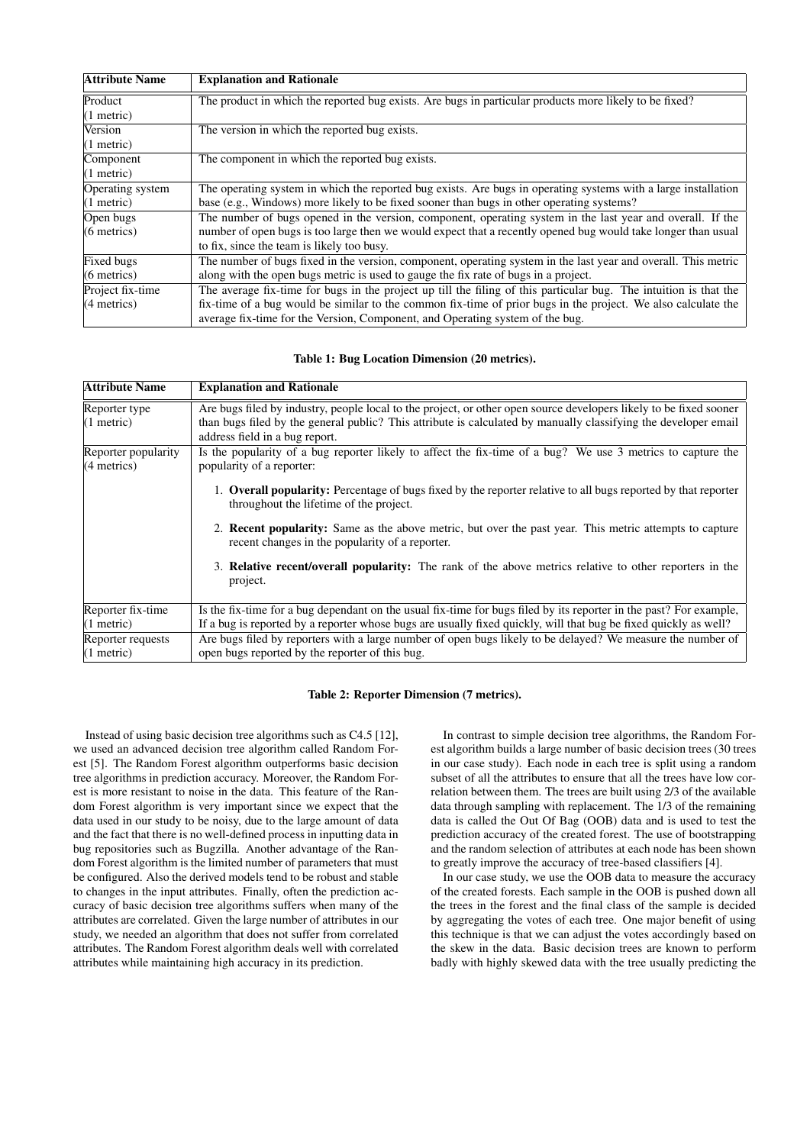| <b>Attribute Name</b> | <b>Explanation and Rationale</b>                                                                                  |
|-----------------------|-------------------------------------------------------------------------------------------------------------------|
| Product               | The product in which the reported bug exists. Are bugs in particular products more likely to be fixed?            |
| $(1$ metric)          |                                                                                                                   |
| Version               | The version in which the reported bug exists.                                                                     |
| $(1$ metric)          |                                                                                                                   |
| Component             | The component in which the reported bug exists.                                                                   |
| $(1$ metric)          |                                                                                                                   |
| Operating system      | The operating system in which the reported bug exists. Are bugs in operating systems with a large installation    |
| $(1$ metric)          | base (e.g., Windows) more likely to be fixed sooner than bugs in other operating systems?                         |
| Open bugs             | The number of bugs opened in the version, component, operating system in the last year and overall. If the        |
| $(6$ metrics)         | number of open bugs is too large then we would expect that a recently opened bug would take longer than usual     |
|                       | to fix, since the team is likely too busy.                                                                        |
| Fixed bugs            | The number of bugs fixed in the version, component, operating system in the last year and overall. This metric    |
| $(6$ metrics)         | along with the open bugs metric is used to gauge the fix rate of bugs in a project.                               |
| Project fix-time      | The average fix-time for bugs in the project up till the filing of this particular bug. The intuition is that the |
| $(4$ metrics)         | fix-time of a bug would be similar to the common fix-time of prior bugs in the project. We also calculate the     |
|                       | average fix-time for the Version, Component, and Operating system of the bug.                                     |

#### Table 1: Bug Location Dimension (20 metrics).

| <b>Attribute Name</b> | <b>Explanation and Rationale</b>                                                                                                                                  |
|-----------------------|-------------------------------------------------------------------------------------------------------------------------------------------------------------------|
| Reporter type         | Are bugs filed by industry, people local to the project, or other open source developers likely to be fixed sooner                                                |
| $(1$ metric)          | than bugs filed by the general public? This attribute is calculated by manually classifying the developer email                                                   |
|                       | address field in a bug report.                                                                                                                                    |
| Reporter popularity   | Is the popularity of a bug reporter likely to affect the fix-time of a bug? We use 3 metrics to capture the                                                       |
| $(4$ metrics)         | popularity of a reporter:                                                                                                                                         |
|                       | 1. Overall popularity: Percentage of bugs fixed by the reporter relative to all bugs reported by that reporter<br>throughout the lifetime of the project.         |
|                       | 2. <b>Recent popularity:</b> Same as the above metric, but over the past year. This metric attempts to capture<br>recent changes in the popularity of a reporter. |
|                       | 3. Relative recent/overall popularity: The rank of the above metrics relative to other reporters in the<br>project.                                               |
| Reporter fix-time     | Is the fix-time for a bug dependant on the usual fix-time for bugs filed by its reporter in the past? For example,                                                |
| $(1$ metric)          | If a bug is reported by a reporter whose bugs are usually fixed quickly, will that bug be fixed quickly as well?                                                  |
| Reporter requests     | Are bugs filed by reporters with a large number of open bugs likely to be delayed? We measure the number of                                                       |
| $(1$ metric)          | open bugs reported by the reporter of this bug.                                                                                                                   |

#### Table 2: Reporter Dimension (7 metrics).

Instead of using basic decision tree algorithms such as C4.5 [12], we used an advanced decision tree algorithm called Random Forest [5]. The Random Forest algorithm outperforms basic decision tree algorithms in prediction accuracy. Moreover, the Random Forest is more resistant to noise in the data. This feature of the Random Forest algorithm is very important since we expect that the data used in our study to be noisy, due to the large amount of data and the fact that there is no well-defined process in inputting data in bug repositories such as Bugzilla. Another advantage of the Random Forest algorithm is the limited number of parameters that must be configured. Also the derived models tend to be robust and stable to changes in the input attributes. Finally, often the prediction accuracy of basic decision tree algorithms suffers when many of the attributes are correlated. Given the large number of attributes in our study, we needed an algorithm that does not suffer from correlated attributes. The Random Forest algorithm deals well with correlated attributes while maintaining high accuracy in its prediction.

In contrast to simple decision tree algorithms, the Random Forest algorithm builds a large number of basic decision trees (30 trees in our case study). Each node in each tree is split using a random subset of all the attributes to ensure that all the trees have low correlation between them. The trees are built using 2/3 of the available data through sampling with replacement. The 1/3 of the remaining data is called the Out Of Bag (OOB) data and is used to test the prediction accuracy of the created forest. The use of bootstrapping and the random selection of attributes at each node has been shown to greatly improve the accuracy of tree-based classifiers [4].

In our case study, we use the OOB data to measure the accuracy of the created forests. Each sample in the OOB is pushed down all the trees in the forest and the final class of the sample is decided by aggregating the votes of each tree. One major benefit of using this technique is that we can adjust the votes accordingly based on the skew in the data. Basic decision trees are known to perform badly with highly skewed data with the tree usually predicting the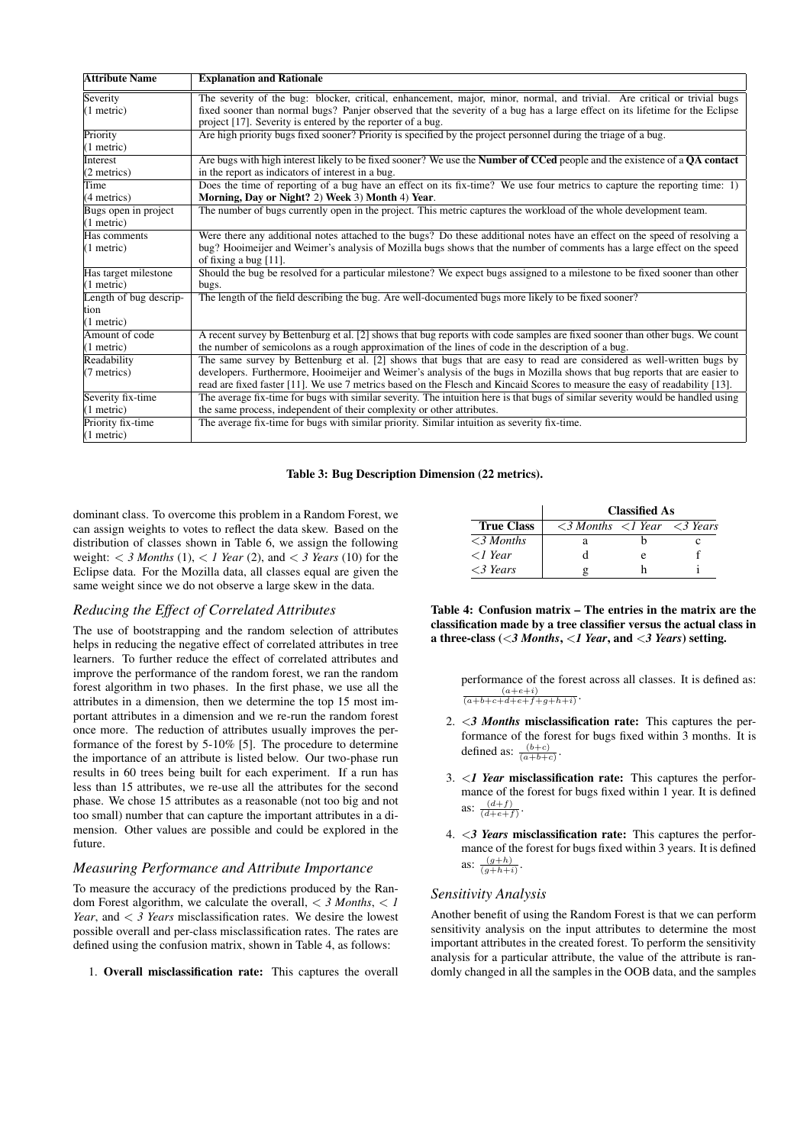| <b>Attribute Name</b>                | <b>Explanation and Rationale</b>                                                                                                                                                            |
|--------------------------------------|---------------------------------------------------------------------------------------------------------------------------------------------------------------------------------------------|
| Severity                             | The severity of the bug: blocker, critical, enhancement, major, minor, normal, and trivial. Are critical or trivial bugs                                                                    |
| $(1$ metric)                         | fixed sooner than normal bugs? Panjer observed that the severity of a bug has a large effect on its lifetime for the Eclipse<br>project [17]. Severity is entered by the reporter of a bug. |
| Priority                             | Are high priority bugs fixed sooner? Priority is specified by the project personnel during the triage of a bug.                                                                             |
| $(1$ metric)                         |                                                                                                                                                                                             |
| Interest                             | Are bugs with high interest likely to be fixed sooner? We use the <b>Number of CCed</b> people and the existence of a <b>QA</b> contact                                                     |
| $(2$ metrics)                        | in the report as indicators of interest in a bug.                                                                                                                                           |
| Time                                 | Does the time of reporting of a bug have an effect on its fix-time? We use four metrics to capture the reporting time: 1)                                                                   |
| $(4$ metrics)                        | Morning, Day or Night? 2) Week 3) Month 4) Year.                                                                                                                                            |
| Bugs open in project<br>$(1$ metric) | The number of bugs currently open in the project. This metric captures the workload of the whole development team.                                                                          |
| Has comments                         | Were there any additional notes attached to the bugs? Do these additional notes have an effect on the speed of resolving a                                                                  |
| $(1$ metric)                         | bug? Hooimeijer and Weimer's analysis of Mozilla bugs shows that the number of comments has a large effect on the speed<br>of fixing a bug $[11]$ .                                         |
| Has target milestone                 | Should the bug be resolved for a particular milestone? We expect bugs assigned to a milestone to be fixed sooner than other                                                                 |
| $(1$ metric)                         | bugs.                                                                                                                                                                                       |
| Length of bug descrip-               | The length of the field describing the bug. Are well-documented bugs more likely to be fixed sooner?                                                                                        |
| tion                                 |                                                                                                                                                                                             |
| $(1$ metric)                         |                                                                                                                                                                                             |
| Amount of code                       | A recent survey by Bettenburg et al. [2] shows that bug reports with code samples are fixed sooner than other bugs. We count                                                                |
| $(1$ metric)                         | the number of semicolons as a rough approximation of the lines of code in the description of a bug.                                                                                         |
| Readability                          | The same survey by Bettenburg et al. [2] shows that bugs that are easy to read are considered as well-written bugs by                                                                       |
| $(7$ metrics)                        | developers. Furthermore, Hooimeijer and Weimer's analysis of the bugs in Mozilla shows that bug reports that are easier to                                                                  |
|                                      | read are fixed faster [11]. We use 7 metrics based on the Flesch and Kincaid Scores to measure the easy of readability [13].                                                                |
| Severity fix-time                    | The average fix-time for bugs with similar severity. The intuition here is that bugs of similar severity would be handled using                                                             |
| $(1$ metric)                         | the same process, independent of their complexity or other attributes.                                                                                                                      |
| Priority fix-time                    | The average fix-time for bugs with similar priority. Similar intuition as severity fix-time.                                                                                                |
| $(1$ metric)                         |                                                                                                                                                                                             |

#### Table 3: Bug Description Dimension (22 metrics).

dominant class. To overcome this problem in a Random Forest, we can assign weights to votes to reflect the data skew. Based on the distribution of classes shown in Table 6, we assign the following weight: < *3 Months* (1), < *1 Year* (2), and < *3 Years* (10) for the Eclipse data. For the Mozilla data, all classes equal are given the same weight since we do not observe a large skew in the data.

## *Reducing the Effect of Correlated Attributes*

The use of bootstrapping and the random selection of attributes helps in reducing the negative effect of correlated attributes in tree learners. To further reduce the effect of correlated attributes and improve the performance of the random forest, we ran the random forest algorithm in two phases. In the first phase, we use all the attributes in a dimension, then we determine the top 15 most important attributes in a dimension and we re-run the random forest once more. The reduction of attributes usually improves the performance of the forest by 5-10% [5]. The procedure to determine the importance of an attribute is listed below. Our two-phase run results in 60 trees being built for each experiment. If a run has less than 15 attributes, we re-use all the attributes for the second phase. We chose 15 attributes as a reasonable (not too big and not too small) number that can capture the important attributes in a dimension. Other values are possible and could be explored in the future.

#### *Measuring Performance and Attribute Importance*

To measure the accuracy of the predictions produced by the Random Forest algorithm, we calculate the overall, < *3 Months*, < *1 Year*, and < *3 Years* misclassification rates. We desire the lowest possible overall and per-class misclassification rates. The rates are defined using the confusion matrix, shown in Table 4, as follows:

1. Overall misclassification rate: This captures the overall

|                              | <b>Classified As</b>                                  |   |  |
|------------------------------|-------------------------------------------------------|---|--|
| <b>True Class</b>            | $\langle$ 3 Months $\langle$ 1 Year $\langle$ 3 Years |   |  |
| $\langle 3$ Months           | я                                                     |   |  |
| $\langle$ 1 Year             |                                                       | e |  |
| $\langle 3 \ \textit{Years}$ |                                                       |   |  |

Table 4: Confusion matrix – The entries in the matrix are the classification made by a tree classifier versus the actual class in a three-class (<*3 Months*, <*1 Year*, and <*3 Years*) setting.

performance of the forest across all classes. It is defined as:  $\frac{(a+e+i)}{(a+b+c+d+e+f+g+h+i)}$ 

- 2. <*3 Months* misclassification rate: This captures the performance of the forest for bugs fixed within 3 months. It is defined as:  $\frac{(b+c)}{(a+b+c)}$ .
- 3. <*1 Year* misclassification rate: This captures the performance of the forest for bugs fixed within 1 year. It is defined as:  $\frac{(d+f)}{(d+e+f)}$ .
- 4. <*3 Years* misclassification rate: This captures the performance of the forest for bugs fixed within 3 years. It is defined as:  $\frac{(g+h)}{(g+h+i)}$ .

#### *Sensitivity Analysis*

Another benefit of using the Random Forest is that we can perform sensitivity analysis on the input attributes to determine the most important attributes in the created forest. To perform the sensitivity analysis for a particular attribute, the value of the attribute is randomly changed in all the samples in the OOB data, and the samples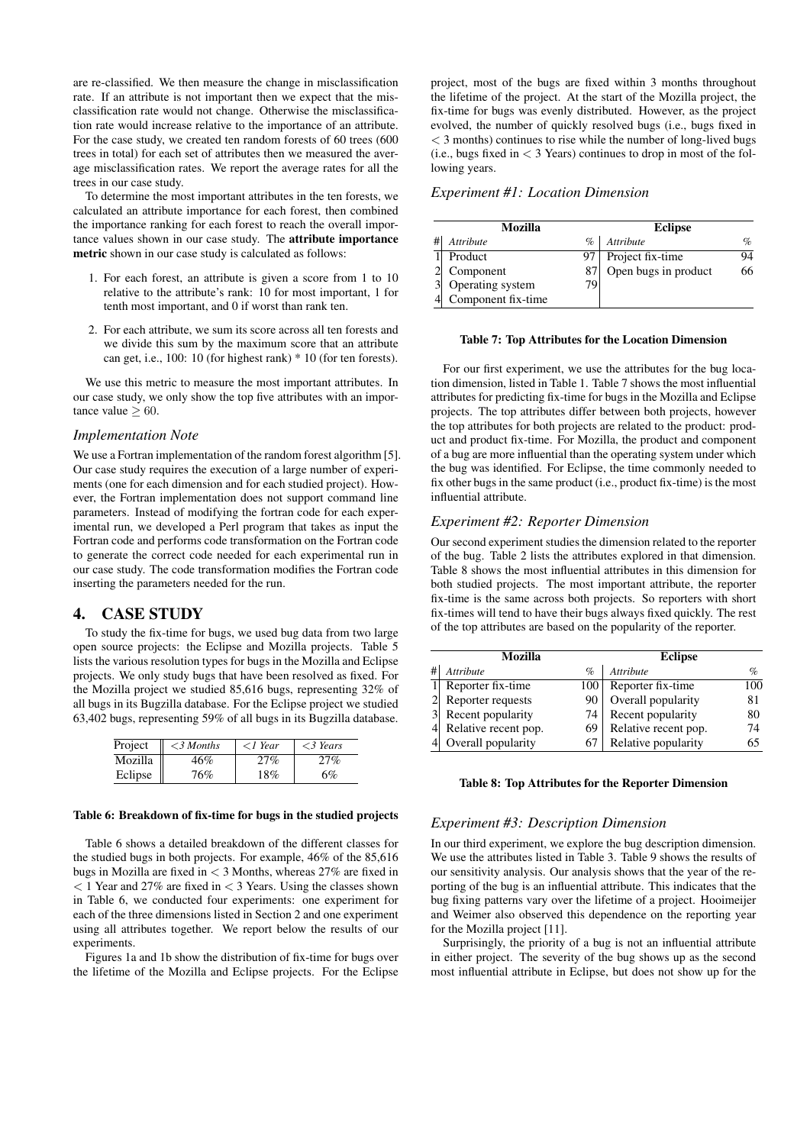are re-classified. We then measure the change in misclassification rate. If an attribute is not important then we expect that the misclassification rate would not change. Otherwise the misclassification rate would increase relative to the importance of an attribute. For the case study, we created ten random forests of 60 trees (600 trees in total) for each set of attributes then we measured the average misclassification rates. We report the average rates for all the trees in our case study.

To determine the most important attributes in the ten forests, we calculated an attribute importance for each forest, then combined the importance ranking for each forest to reach the overall importance values shown in our case study. The attribute importance metric shown in our case study is calculated as follows:

- 1. For each forest, an attribute is given a score from 1 to 10 relative to the attribute's rank: 10 for most important, 1 for tenth most important, and 0 if worst than rank ten.
- 2. For each attribute, we sum its score across all ten forests and we divide this sum by the maximum score that an attribute can get, i.e., 100: 10 (for highest rank) \* 10 (for ten forests).

We use this metric to measure the most important attributes. In our case study, we only show the top five attributes with an importance value  $> 60$ .

#### *Implementation Note*

We use a Fortran implementation of the random forest algorithm [5]. Our case study requires the execution of a large number of experiments (one for each dimension and for each studied project). However, the Fortran implementation does not support command line parameters. Instead of modifying the fortran code for each experimental run, we developed a Perl program that takes as input the Fortran code and performs code transformation on the Fortran code to generate the correct code needed for each experimental run in our case study. The code transformation modifies the Fortran code inserting the parameters needed for the run.

## 4. CASE STUDY

To study the fix-time for bugs, we used bug data from two large open source projects: the Eclipse and Mozilla projects. Table 5 lists the various resolution types for bugs in the Mozilla and Eclipse projects. We only study bugs that have been resolved as fixed. For the Mozilla project we studied 85,616 bugs, representing 32% of all bugs in its Bugzilla database. For the Eclipse project we studied 63,402 bugs, representing 59% of all bugs in its Bugzilla database.

| Project | $\langle 3$ Months | $\langle$ 1 Year | $\langle 3 \rangle$ Years |
|---------|--------------------|------------------|---------------------------|
| Mozilla | 46%                | 27%              | 27%                       |
| Eclipse | 76%                | 18%              | 6%                        |

#### Table 6: Breakdown of fix-time for bugs in the studied projects

Table 6 shows a detailed breakdown of the different classes for the studied bugs in both projects. For example, 46% of the 85,616 bugs in Mozilla are fixed in < 3 Months, whereas 27% are fixed in  $<$  1 Year and 27% are fixed in  $<$  3 Years. Using the classes shown in Table 6, we conducted four experiments: one experiment for each of the three dimensions listed in Section 2 and one experiment using all attributes together. We report below the results of our experiments.

Figures 1a and 1b show the distribution of fix-time for bugs over the lifetime of the Mozilla and Eclipse projects. For the Eclipse

project, most of the bugs are fixed within 3 months throughout the lifetime of the project. At the start of the Mozilla project, the fix-time for bugs was evenly distributed. However, as the project evolved, the number of quickly resolved bugs (i.e., bugs fixed in < 3 months) continues to rise while the number of long-lived bugs (i.e., bugs fixed in  $<$  3 Years) continues to drop in most of the following years.

*Experiment #1: Location Dimension*

| Mozilla            | <b>Eclipse</b> |                         |      |
|--------------------|----------------|-------------------------|------|
| Attribute          | %              | Attribute               | $\%$ |
| Product            |                | Project fix-time        | 94   |
| Component          |                | 87 Open bugs in product | 66   |
| Operating system   | 79             |                         |      |
| Component fix-time |                |                         |      |

#### Table 7: Top Attributes for the Location Dimension

For our first experiment, we use the attributes for the bug location dimension, listed in Table 1. Table 7 shows the most influential attributes for predicting fix-time for bugs in the Mozilla and Eclipse projects. The top attributes differ between both projects, however the top attributes for both projects are related to the product: product and product fix-time. For Mozilla, the product and component of a bug are more influential than the operating system under which the bug was identified. For Eclipse, the time commonly needed to fix other bugs in the same product (i.e., product fix-time) is the most influential attribute.

## *Experiment #2: Reporter Dimension*

Our second experiment studies the dimension related to the reporter of the bug. Table 2 lists the attributes explored in that dimension. Table 8 shows the most influential attributes in this dimension for both studied projects. The most important attribute, the reporter fix-time is the same across both projects. So reporters with short fix-times will tend to have their bugs always fixed quickly. The rest of the top attributes are based on the popularity of the reporter.

| Mozilla              | <b>Eclipse</b> |                      |     |
|----------------------|----------------|----------------------|-----|
| <i>Attribute</i>     | $\%$           | Attribute            | %   |
| Reporter fix-time    | 100            | Reporter fix-time    | 100 |
| Reporter requests    | 90             | Overall popularity   | 81  |
| Recent popularity    | 74             | Recent popularity    | 80  |
| Relative recent pop. | 69             | Relative recent pop. | 74  |
| Overall popularity   | 67             | Relative popularity  | 65  |

#### Table 8: Top Attributes for the Reporter Dimension

#### *Experiment #3: Description Dimension*

In our third experiment, we explore the bug description dimension. We use the attributes listed in Table 3. Table 9 shows the results of our sensitivity analysis. Our analysis shows that the year of the reporting of the bug is an influential attribute. This indicates that the bug fixing patterns vary over the lifetime of a project. Hooimeijer and Weimer also observed this dependence on the reporting year for the Mozilla project [11].

Surprisingly, the priority of a bug is not an influential attribute in either project. The severity of the bug shows up as the second most influential attribute in Eclipse, but does not show up for the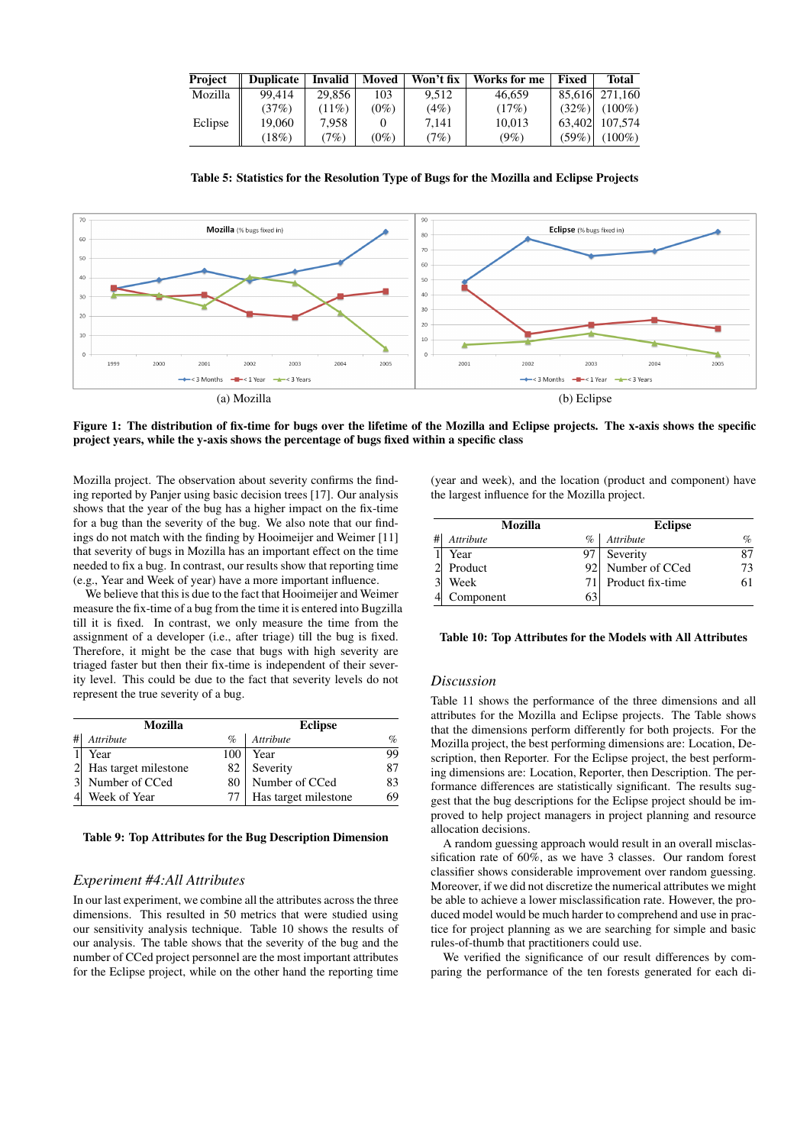| <b>Project</b> | <b>Duplicate</b> | <b>Invalid</b> | Moved   | Won't fix | Works for me | Fixed    | <b>Total</b>   |
|----------------|------------------|----------------|---------|-----------|--------------|----------|----------------|
| Mozilla        | 99.414           | 29,856         | 103     | 9.512     | 46.659       |          | 85.616 271.160 |
|                | (37%)            | $(11\%)$       | $(0\%)$ | (4%)      | (17%)        | $(32\%)$ | $(100\%)$      |
| Eclipse        | 19.060           | 7.958          |         | 7.141     | 10.013       | 63.402   | 107.574        |
|                | (18%)            | (7%)           | $(0\%)$ | (7%)      | $(9\%)$      | (59%)    | $(100\%)$      |

Table 5: Statistics for the Resolution Type of Bugs for the Mozilla and Eclipse Projects



Figure 1: The distribution of fix-time for bugs over the lifetime of the Mozilla and Eclipse projects. The x-axis shows the specific project years, while the y-axis shows the percentage of bugs fixed within a specific class

Mozilla project. The observation about severity confirms the finding reported by Panjer using basic decision trees [17]. Our analysis shows that the year of the bug has a higher impact on the fix-time for a bug than the severity of the bug. We also note that our findings do not match with the finding by Hooimeijer and Weimer [11] that severity of bugs in Mozilla has an important effect on the time needed to fix a bug. In contrast, our results show that reporting time (e.g., Year and Week of year) have a more important influence.

We believe that this is due to the fact that Hooimeijer and Weimer measure the fix-time of a bug from the time it is entered into Bugzilla till it is fixed. In contrast, we only measure the time from the assignment of a developer (i.e., after triage) till the bug is fixed. Therefore, it might be the case that bugs with high severity are triaged faster but then their fix-time is independent of their severity level. This could be due to the fact that severity levels do not represent the true severity of a bug.

| Mozilla |                      |    | <b>Eclipse</b>       |      |  |
|---------|----------------------|----|----------------------|------|--|
|         | Attribute            | %  | <b>Attribute</b>     | $\%$ |  |
|         | Year                 |    | Year                 | 99   |  |
|         | Has target milestone | 82 | Severity             | 87   |  |
|         | Number of CCed       |    | 80   Number of CCed  | 83   |  |
|         | Week of Year         |    | Has target milestone | 69   |  |

#### Table 9: Top Attributes for the Bug Description Dimension

#### *Experiment #4:All Attributes*

In our last experiment, we combine all the attributes across the three dimensions. This resulted in 50 metrics that were studied using our sensitivity analysis technique. Table 10 shows the results of our analysis. The table shows that the severity of the bug and the number of CCed project personnel are the most important attributes for the Eclipse project, while on the other hand the reporting time

(year and week), and the location (product and component) have the largest influence for the Mozilla project.

| Mozilla   |      | <b>Eclipse</b>    |      |  |
|-----------|------|-------------------|------|--|
| Attribute | $\%$ | Attribute         | $\%$ |  |
| Year      |      | Severity          | 87   |  |
| Product   |      | 92 Number of CCed | 73   |  |
| Week      | 71 I | Product fix-time  | 61   |  |
| Component | 63   |                   |      |  |

#### Table 10: Top Attributes for the Models with All Attributes

## *Discussion*

Table 11 shows the performance of the three dimensions and all attributes for the Mozilla and Eclipse projects. The Table shows that the dimensions perform differently for both projects. For the Mozilla project, the best performing dimensions are: Location, Description, then Reporter. For the Eclipse project, the best performing dimensions are: Location, Reporter, then Description. The performance differences are statistically significant. The results suggest that the bug descriptions for the Eclipse project should be improved to help project managers in project planning and resource allocation decisions.

A random guessing approach would result in an overall misclassification rate of 60%, as we have 3 classes. Our random forest classifier shows considerable improvement over random guessing. Moreover, if we did not discretize the numerical attributes we might be able to achieve a lower misclassification rate. However, the produced model would be much harder to comprehend and use in practice for project planning as we are searching for simple and basic rules-of-thumb that practitioners could use.

We verified the significance of our result differences by comparing the performance of the ten forests generated for each di-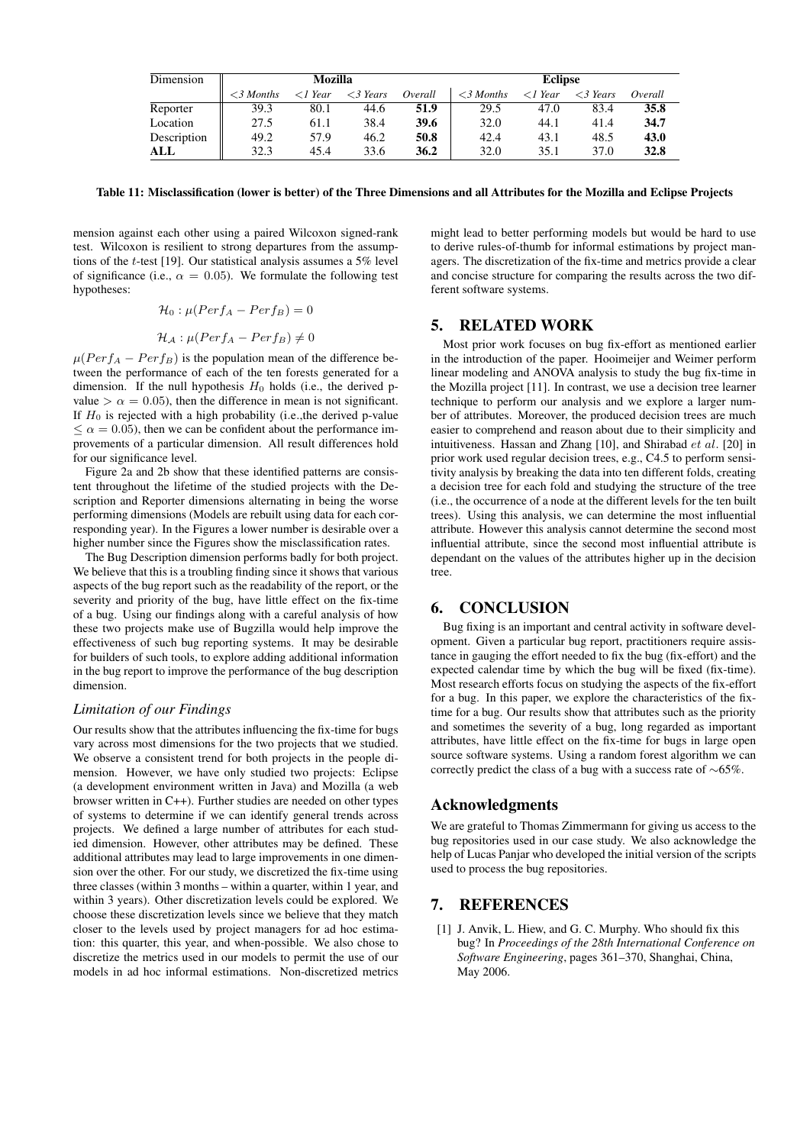| Dimension   | Mozilla            |                  |                              | <b>Eclipse</b> |                    |                  |                              |         |
|-------------|--------------------|------------------|------------------------------|----------------|--------------------|------------------|------------------------------|---------|
|             | $\langle 3$ Months | $\langle$ 1 Year | $\langle 3 \ \textit{Years}$ | Overall        | $\langle 3$ Months | $\langle$ 1 Year | $\langle 3 \ \textit{Years}$ | Overall |
| Reporter    | 39.3               | 80.1             | 44.6                         | 51.9           | 29.5               | 47.0             | 83.4                         | 35.8    |
| Location    | 27.5               | 61.1             | 38.4                         | 39.6           | 32.0               | 44.1             | 41.4                         | 34.7    |
| Description | 49.2               | 57.9             | 46.2                         | 50.8           | 42.4               | 43.1             | 48.5                         | 43.0    |
| ALL         | 32.3               | 45.4             | 33.6                         | 36.2           | 32.0               | 35.1             | 37.0                         | 32.8    |

Table 11: Misclassification (lower is better) of the Three Dimensions and all Attributes for the Mozilla and Eclipse Projects

mension against each other using a paired Wilcoxon signed-rank test. Wilcoxon is resilient to strong departures from the assumptions of the t-test [19]. Our statistical analysis assumes a 5% level of significance (i.e.,  $\alpha = 0.05$ ). We formulate the following test hypotheses:

$$
\mathcal{H}_0: \mu(Perf_A-Perf_B)=0
$$

$$
\mathcal{H}_A: \mu(Perf_A - Perf_B) \neq 0
$$

 $\mu (Perf_A - Perf_B)$  is the population mean of the difference between the performance of each of the ten forests generated for a dimension. If the null hypothesis  $H_0$  holds (i.e., the derived pvalue  $\ge \alpha = 0.05$ , then the difference in mean is not significant. If  $H_0$  is rejected with a high probability (i.e., the derived p-value  $\leq \alpha = 0.05$ , then we can be confident about the performance improvements of a particular dimension. All result differences hold for our significance level.

Figure 2a and 2b show that these identified patterns are consistent throughout the lifetime of the studied projects with the Description and Reporter dimensions alternating in being the worse performing dimensions (Models are rebuilt using data for each corresponding year). In the Figures a lower number is desirable over a higher number since the Figures show the misclassification rates.

The Bug Description dimension performs badly for both project. We believe that this is a troubling finding since it shows that various aspects of the bug report such as the readability of the report, or the severity and priority of the bug, have little effect on the fix-time of a bug. Using our findings along with a careful analysis of how these two projects make use of Bugzilla would help improve the effectiveness of such bug reporting systems. It may be desirable for builders of such tools, to explore adding additional information in the bug report to improve the performance of the bug description dimension.

## *Limitation of our Findings*

Our results show that the attributes influencing the fix-time for bugs vary across most dimensions for the two projects that we studied. We observe a consistent trend for both projects in the people dimension. However, we have only studied two projects: Eclipse (a development environment written in Java) and Mozilla (a web browser written in C++). Further studies are needed on other types of systems to determine if we can identify general trends across projects. We defined a large number of attributes for each studied dimension. However, other attributes may be defined. These additional attributes may lead to large improvements in one dimension over the other. For our study, we discretized the fix-time using three classes (within 3 months – within a quarter, within 1 year, and within 3 years). Other discretization levels could be explored. We choose these discretization levels since we believe that they match closer to the levels used by project managers for ad hoc estimation: this quarter, this year, and when-possible. We also chose to discretize the metrics used in our models to permit the use of our models in ad hoc informal estimations. Non-discretized metrics

might lead to better performing models but would be hard to use to derive rules-of-thumb for informal estimations by project managers. The discretization of the fix-time and metrics provide a clear and concise structure for comparing the results across the two different software systems.

## 5. RELATED WORK

Most prior work focuses on bug fix-effort as mentioned earlier in the introduction of the paper. Hooimeijer and Weimer perform linear modeling and ANOVA analysis to study the bug fix-time in the Mozilla project [11]. In contrast, we use a decision tree learner technique to perform our analysis and we explore a larger number of attributes. Moreover, the produced decision trees are much easier to comprehend and reason about due to their simplicity and intuitiveness. Hassan and Zhang [10], and Shirabad et al. [20] in prior work used regular decision trees, e.g., C4.5 to perform sensitivity analysis by breaking the data into ten different folds, creating a decision tree for each fold and studying the structure of the tree (i.e., the occurrence of a node at the different levels for the ten built trees). Using this analysis, we can determine the most influential attribute. However this analysis cannot determine the second most influential attribute, since the second most influential attribute is dependant on the values of the attributes higher up in the decision tree.

## 6. CONCLUSION

Bug fixing is an important and central activity in software development. Given a particular bug report, practitioners require assistance in gauging the effort needed to fix the bug (fix-effort) and the expected calendar time by which the bug will be fixed (fix-time). Most research efforts focus on studying the aspects of the fix-effort for a bug. In this paper, we explore the characteristics of the fixtime for a bug. Our results show that attributes such as the priority and sometimes the severity of a bug, long regarded as important attributes, have little effect on the fix-time for bugs in large open source software systems. Using a random forest algorithm we can correctly predict the class of a bug with a success rate of ∼65%.

## Acknowledgments

We are grateful to Thomas Zimmermann for giving us access to the bug repositories used in our case study. We also acknowledge the help of Lucas Panjar who developed the initial version of the scripts used to process the bug repositories.

# 7. REFERENCES

[1] J. Anvik, L. Hiew, and G. C. Murphy. Who should fix this bug? In *Proceedings of the 28th International Conference on Software Engineering*, pages 361–370, Shanghai, China, May 2006.